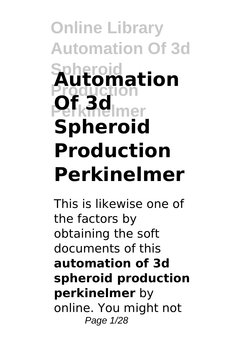# **Online Library Automation Of 3d Spheroid** Automation **Perkinelmer Of 3d Spheroid Production Perkinelmer**

This is likewise one of the factors by obtaining the soft documents of this **automation of 3d spheroid production perkinelmer** by online. You might not Page 1/28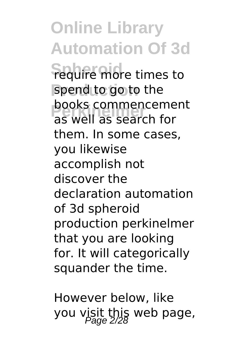**Online Library Automation Of 3d Sequire more times to** spend to go to the **POOKS COMMERICEME**<br>as well as search for books commencement them. In some cases, you likewise accomplish not discover the declaration automation of 3d spheroid production perkinelmer that you are looking for. It will categorically squander the time.

However below, like you visit this web page,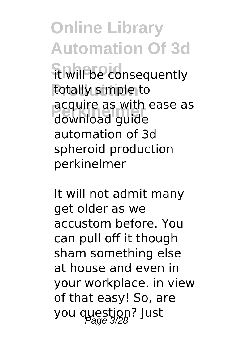**Online Library Automation Of 3d Ft will be consequently Production** totally simple to **Perkinelmer** download guide acquire as with ease as automation of 3d spheroid production perkinelmer

It will not admit many get older as we accustom before. You can pull off it though sham something else at house and even in your workplace. in view of that easy! So, are you question? Just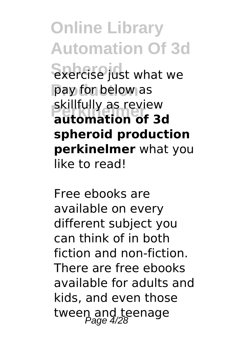**Online Library Automation Of 3d Spherise** just what we pay for below as **Perkinelmer automation of 3d** skillfully as review **spheroid production perkinelmer** what you like to read!

Free ebooks are available on every different subject you can think of in both fiction and non-fiction. There are free ebooks available for adults and kids, and even those tween and teenage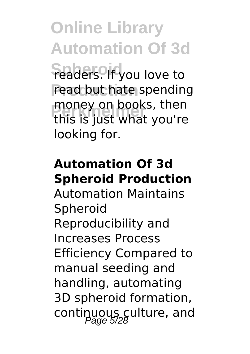**Online Library Automation Of 3d**

**Feaders. If you love to** read but hate spending **Perkinelmer** this is just what you're money on books, then looking for.

## **Automation Of 3d Spheroid Production**

Automation Maintains Spheroid Reproducibility and Increases Process Efficiency Compared to manual seeding and handling, automating 3D spheroid formation, continuous culture, and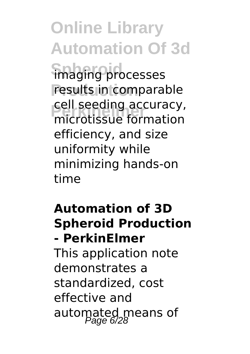**Online Library Automation Of 3d** imaging processes results in comparable **Performation**<br>
microtissue formation cell seeding accuracy, efficiency, and size uniformity while minimizing hands-on time

#### **Automation of 3D Spheroid Production - PerkinElmer**

This application note demonstrates a standardized, cost effective and automated means of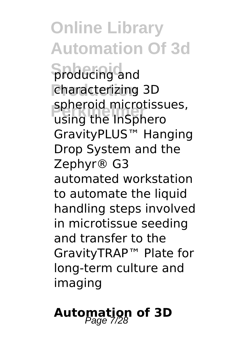**Online Library Automation Of 3d Spoducing and Production** characterizing 3D **Spheroid microtissues,**<br>Using the **InSphero** using the InSphero GravityPLUS™ Hanging Drop System and the Zephyr® G3 automated workstation to automate the liquid handling steps involved in microtissue seeding and transfer to the GravityTRAP™ Plate for long-term culture and imaging

# Automation of 3D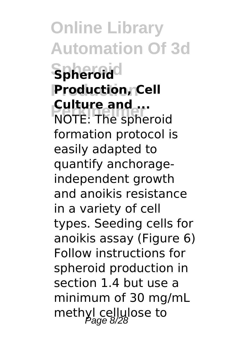**Online Library Automation Of 3d Spheroid Spheroid Production Production, Cell Pulture and ...**<br>NOTE: The spheroid **Culture and ...** formation protocol is easily adapted to quantify anchorageindependent growth and anoikis resistance in a variety of cell types. Seeding cells for anoikis assay (Figure 6) Follow instructions for spheroid production in section 1.4 but use a minimum of 30 mg/mL methyl cellulose to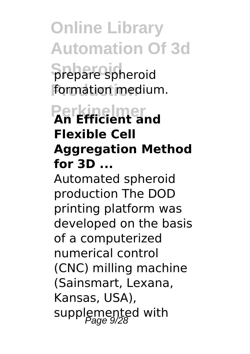**Online Library Automation Of 3d Spheroid** prepare spheroid formation medium.

# **Perkinelmer An Efficient and Flexible Cell Aggregation Method for 3D ...**

Automated spheroid production The DOD printing platform was developed on the basis of a computerized numerical control (CNC) milling machine (Sainsmart, Lexana, Kansas, USA), supplemented with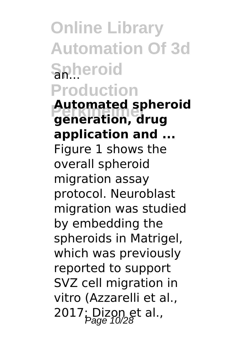**Online Library Automation Of 3d Spheroid Production**

**Automated spheroid**<br> **Reparation**<br> **Arua generation, drug application and ...** Figure 1 shows the overall spheroid migration assay protocol. Neuroblast migration was studied by embedding the spheroids in Matrigel, which was previously reported to support SVZ cell migration in vitro (Azzarelli et al., 2017; Dizon et al.,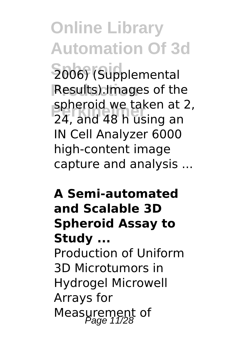**Online Library Automation Of 3d Spheroid** 2006) (Supplemental **Results).Images of the Perkinelmer** 24, and 48 h using an spheroid we taken at 2, IN Cell Analyzer 6000 high-content image capture and analysis ...

# **A Semi-automated and Scalable 3D Spheroid Assay to Study ...**

Production of Uniform 3D Microtumors in Hydrogel Microwell Arrays for Measurement of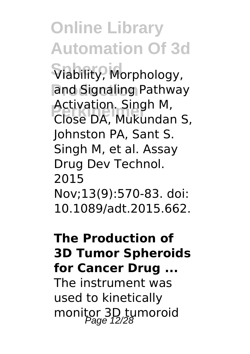**Online Library Automation Of 3d**  $\widehat{\mathsf{V}}$ lability, Morphology, and Signaling Pathway **Perkinelmer** Close DA, Mukundan S, Activation. Singh M, Johnston PA, Sant S. Singh M, et al. Assay Drug Dev Technol. 2015 Nov;13(9):570-83. doi: 10.1089/adt.2015.662.

#### **The Production of 3D Tumor Spheroids for Cancer Drug ...**

The instrument was used to kinetically monitor 3D tumoroid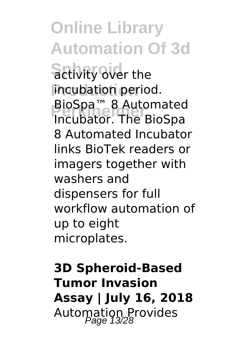**Online Library Automation Of 3d Sctivity over the Production** incubation period. **Propon™ 8 Automated**<br>Proubator The RioSpa Incubator. The BioSpa 8 Automated Incubator links BioTek readers or imagers together with washers and dispensers for full workflow automation of up to eight microplates.

**3D Spheroid-Based Tumor Invasion Assay | July 16, 2018** Automation Provides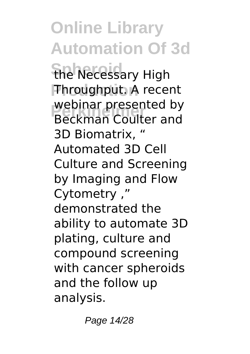**Online Library Automation Of 3d The Necessary High Production** Throughput. A recent **Perkinelmer** Beckman Coulter and webinar presented by 3D Biomatrix, " Automated 3D Cell Culture and Screening by Imaging and Flow Cytometry ," demonstrated the ability to automate 3D plating, culture and compound screening with cancer spheroids and the follow up analysis.

Page 14/28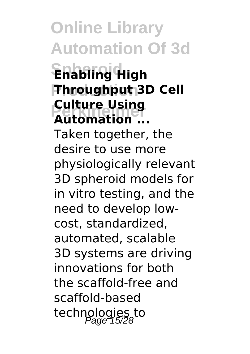**Online Library Automation Of 3d Spheroid Enabling High Production Throughput 3D Cell Perkinelmer Automation ... Culture Using** Taken together, the desire to use more physiologically relevant 3D spheroid models for in vitro testing, and the need to develop lowcost, standardized, automated, scalable 3D systems are driving innovations for both the scaffold-free and scaffold-based technologies to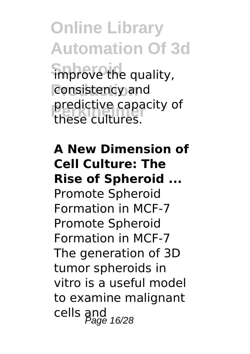**Online Library Automation Of 3d Simprove the quality,** consistency and **predictive capacity of**<br>these cultures these cultures.

#### **A New Dimension of Cell Culture: The Rise of Spheroid ...**

Promote Spheroid Formation in MCF-7 Promote Spheroid Formation in MCF-7 The generation of 3D tumor spheroids in vitro is a useful model to examine malignant cells and<br>Page 16/28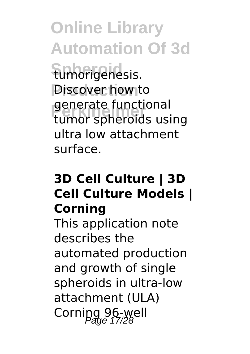**Online Library Automation Of 3d Spheroid** tumorigenesis. **Piscover how to** generate functional<br>tumor spheroids using generate functional ultra low attachment surface.

## **3D Cell Culture | 3D Cell Culture Models | Corning**

This application note describes the automated production and growth of single spheroids in ultra-low attachment (ULA) Corning 96-well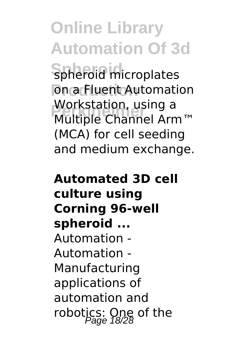**Online Library Automation Of 3d Spheroid** spheroid microplates **Production** Automation **Profission**<br>Multiple Channel Arm™ Workstation, using a (MCA) for cell seeding and medium exchange.

## **Automated 3D cell culture using Corning 96-well spheroid ...** Automation - Automation - Manufacturing applications of automation and robotics: One of the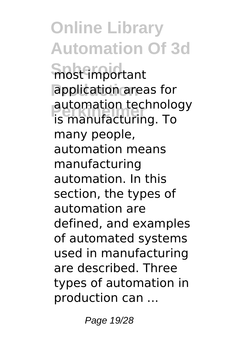**Online Library Automation Of 3d Spheroid** most important **Production** application areas for **automation technology**<br>is manufacturing To is manufacturing. To many people, automation means manufacturing automation. In this section, the types of automation are defined, and examples of automated systems used in manufacturing are described. Three types of automation in production can ...

Page 19/28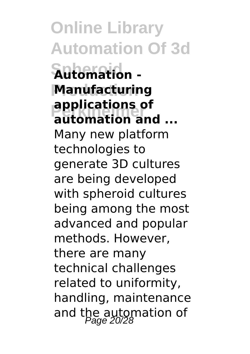**Online Library Automation Of 3d Spheroid Automation - Production Manufacturing applications of**<br>**automation** and **automation and ...** Many new platform technologies to generate 3D cultures are being developed with spheroid cultures being among the most advanced and popular methods. However, there are many technical challenges related to uniformity, handling, maintenance and the automation of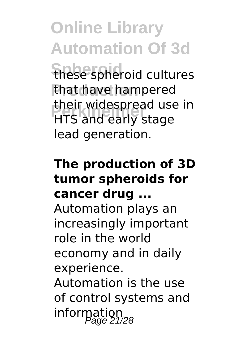**Online Library Automation Of 3d Spheroid** these spheroid cultures

that have hampered **Pheir widespread use in**<br>**HTS** and early stage HTS and early stage lead generation.

#### **The production of 3D tumor spheroids for cancer drug ...**

Automation plays an increasingly important role in the world economy and in daily experience.

Automation is the use of control systems and information<br>Page 21/28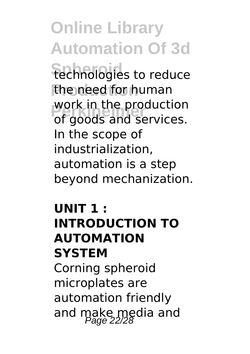**Online Library Automation Of 3d** technologies to reduce the need for human **Production**<br>There is and services. work in the production In the scope of industrialization, automation is a step beyond mechanization.

#### **UNIT 1 : INTRODUCTION TO AUTOMATION SYSTEM** Corning spheroid

microplates are automation friendly and make media and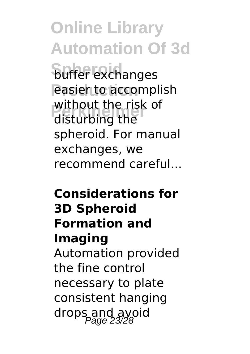**Online Library Automation Of 3d buffer** exchanges **easier to accomplish Perfective Line R**<br>Persian disturbing the without the risk of spheroid. For manual exchanges, we recommend careful...

#### **Considerations for 3D Spheroid Formation and Imaging** Automation provided the fine control

necessary to plate consistent hanging drops and avoid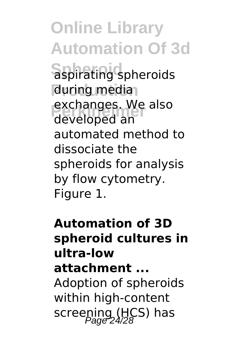**Online Library Automation Of 3d Spheroid** aspirating spheroids during media exchanges. We also developed an automated method to dissociate the spheroids for analysis by flow cytometry. Figure 1.

#### **Automation of 3D spheroid cultures in ultra-low attachment ...** Adoption of spheroids within high-content screening (HCS) has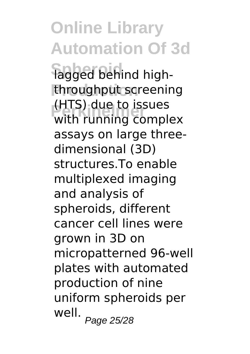**Online Library Automation Of 3d** lagged behind highthroughput screening **Perkinelmer** with running complex (HTS) due to issues assays on large threedimensional (3D) structures.To enable multiplexed imaging and analysis of spheroids, different cancer cell lines were grown in 3D on micropatterned 96-well plates with automated production of nine uniform spheroids per well.<br>Page 25/28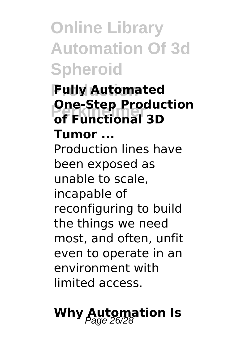**Online Library Automation Of 3d Spheroid**

## **Production Fully Automated Persual Productional 3D One-Step Production**

**Tumor ...** Production lines have been exposed as unable to scale, incapable of reconfiguring to build the things we need most, and often, unfit even to operate in an environment with limited access.

# **Why Automation Is**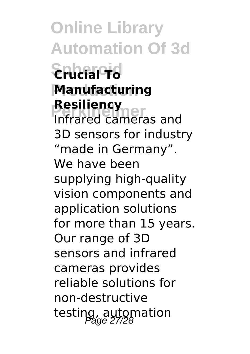**Online Library Automation Of 3d Spheroid Crucial To Production Manufacturing Resiliency**<br>Infrared cameras and **Resiliency** 3D sensors for industry "made in Germany". We have been supplying high-quality vision components and application solutions for more than 15 years. Our range of 3D sensors and infrared cameras provides reliable solutions for non-destructive testing, automation